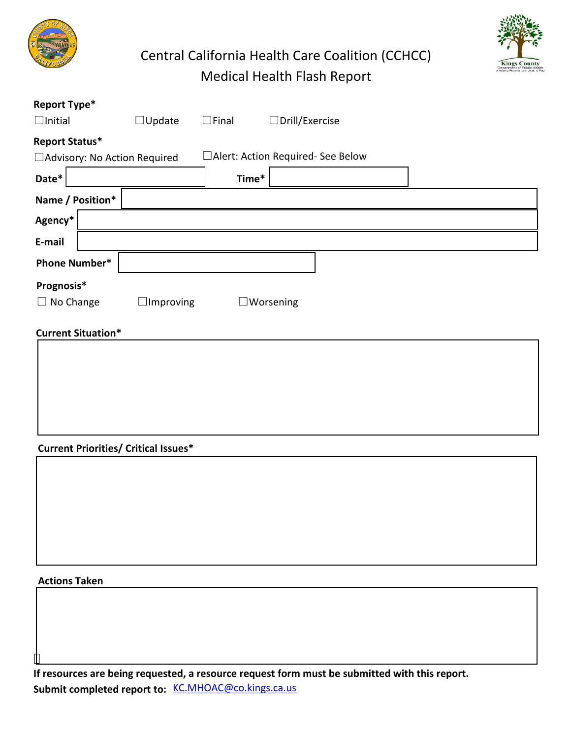





| Report Type*                   |                  |                                    |                       |  |
|--------------------------------|------------------|------------------------------------|-----------------------|--|
| $\Box$ Initial                 | $\Box$ Update    | $\Box$ Final                       | $\Box$ Drill/Exercise |  |
| Report Status*                 |                  |                                    |                       |  |
| □ Advisory: No Action Required |                  | □Alert: Action Required- See Below |                       |  |
| Date*                          |                  | Time*                              |                       |  |
| Name / Position*               |                  |                                    |                       |  |
| Agency*                        |                  |                                    |                       |  |
| E-mail                         |                  |                                    |                       |  |
| <b>Phone Number*</b>           |                  |                                    |                       |  |
| Prognosis*                     |                  |                                    |                       |  |
| No Change<br>⊔                 | $\Box$ Improving |                                    | $\square$ Worsening   |  |
| <b>Current Situation*</b>      |                  |                                    |                       |  |

## **Current Priorities/ Critical Issues\***

# **Actions Taken**

 $\overline{\phantom{a}}$ 

**If resources are being requested, a resource request form must be submitted with this report. Submit completed report to:** KC.MHOAC@co.kings.ca.us